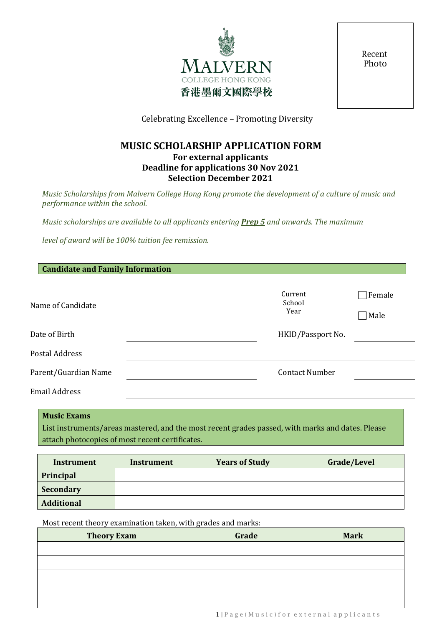

Recent Photo

Celebrating Excellence – Promoting Diversity

# **MUSIC SCHOLARSHIP APPLICATION FORM For external applicants Deadline for applications 30 Nov 2021 Selection December 2021**

*Music Scholarships from Malvern College Hong Kong promote the development of a culture of music and performance within the school.*

*Music scholarships are available to all applicants entering Prep 5 and onwards. The maximum* 

*level of award will be 100% tuition fee remission.*

| <b>Candidate and Family Information</b> |                           |                |  |
|-----------------------------------------|---------------------------|----------------|--|
| Name of Candidate                       | Current<br>School<br>Year | Female<br>Male |  |
| Date of Birth                           | HKID/Passport No.         |                |  |
| <b>Postal Address</b>                   |                           |                |  |
| Parent/Guardian Name                    | <b>Contact Number</b>     |                |  |
| <b>Email Address</b>                    |                           |                |  |

# **Music Exams** List instruments/areas mastered, and the most recent grades passed, with marks and dates. Please attach photocopies of most recent certificates.

| Instrument        | Instrument | <b>Years of Study</b> | Grade/Level |
|-------------------|------------|-----------------------|-------------|
| Principal         |            |                       |             |
| <b>Secondary</b>  |            |                       |             |
| <b>Additional</b> |            |                       |             |

Most recent theory examination taken, with grades and marks:

| <b>Theory Exam</b> | Grade | <b>Mark</b> |
|--------------------|-------|-------------|
|                    |       |             |
|                    |       |             |
|                    |       |             |
|                    |       |             |
|                    |       |             |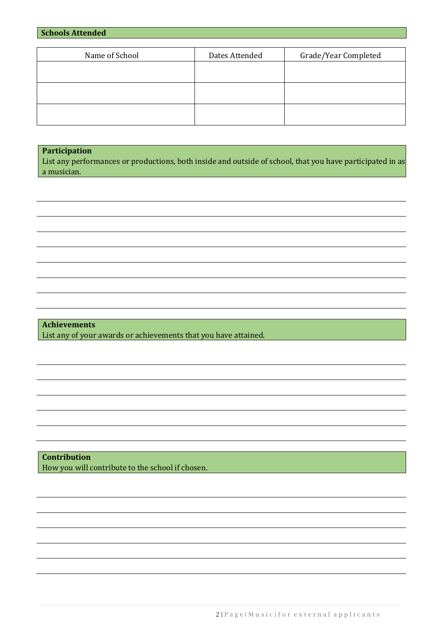|  | <b>Schools Attended</b> |  |
|--|-------------------------|--|
|--|-------------------------|--|

| Name of School | Dates Attended | Grade/Year Completed |
|----------------|----------------|----------------------|
|                |                |                      |
|                |                |                      |
|                |                |                      |
|                |                |                      |
|                |                |                      |
|                |                |                      |

# **Participation**

List any performances or productions, both inside and outside of school, that you have participated in as a musician.

**Achievements** List any of your awards or achievements that you have attained.

**Contribution** How you will contribute to the school if chosen.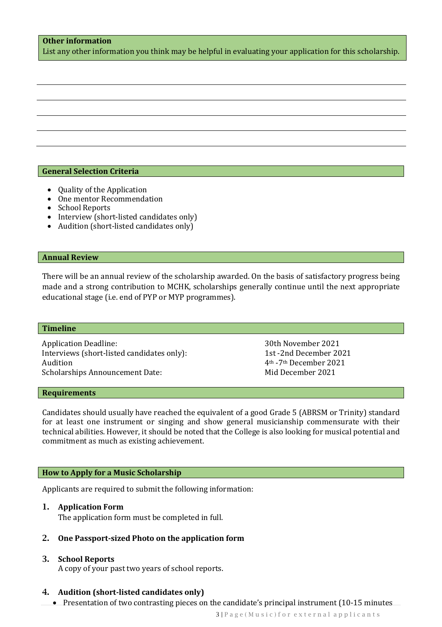# **Other information**

List any other information you think may be helpful in evaluating your application for this scholarship.

## **General Selection Criteria**

- Quality of the Application
- One mentor Recommendation
- School Reports
- Interview (short-listed candidates only)
- Audition (short-listed candidates only)

#### **Annual Review**

There will be an annual review of the scholarship awarded. On the basis of satisfactory progress being made and a strong contribution to MCHK, scholarships generally continue until the next appropriate educational stage (i.e. end of PYP or MYP programmes).

#### **Timeline**

Application Deadline: 30th November 2021<br>1st -2nd December 2021<br>1st -2nd December 2021 Interviews (short-listed candidates only):<br>Audition Scholarships Announcement Date:

4<sup>th</sup> -7<sup>th</sup> December 2021<br>Mid December 2021

#### **Requirements**

Candidates should usually have reached the equivalent of a good Grade 5 (ABRSM or Trinity) standard for at least one instrument or singing and show general musicianship commensurate with their technical abilities. However, it should be noted that the College is also looking for musical potential and commitment as much as existing achievement.

#### **How to Apply for a Music Scholarship**

Applicants are required to submit the following information:

#### 1. **Application Form**

The application form must be completed in full.

## 2. **One Passport-sized Photo on the application form**

## 3. **School Reports**

A copy of your past two years of school reports.

#### 4. **Audition (short-listed candidates only)**

• Presentation of two contrasting pieces on the candidate's principal instrument (10-15 minutes